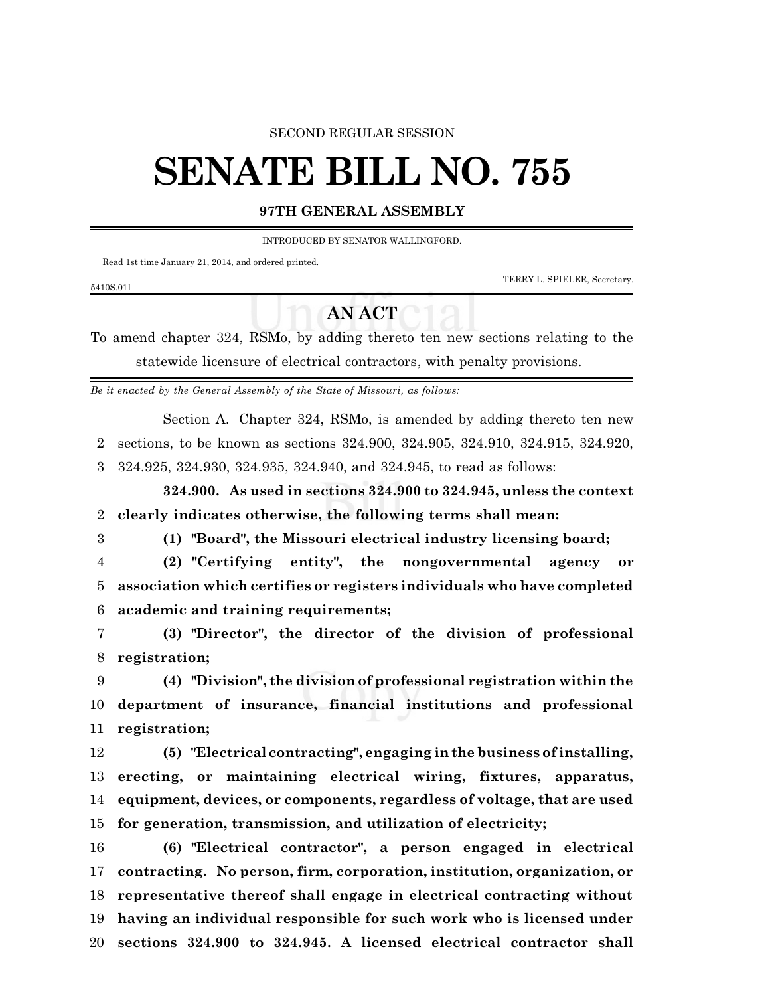### SECOND REGULAR SESSION

# **SENATE BILL NO. 755**

### **97TH GENERAL ASSEMBLY**

INTRODUCED BY SENATOR WALLINGFORD.

Read 1st time January 21, 2014, and ordered printed.

TERRY L. SPIELER, Secretary.

# 5410S.01I

# **AN ACT**

To amend chapter 324, RSMo, by adding thereto ten new sections relating to the statewide licensure of electrical contractors, with penalty provisions.

*Be it enacted by the General Assembly of the State of Missouri, as follows:*

Section A. Chapter 324, RSMo, is amended by adding thereto ten new

sections, to be known as sections 324.900, 324.905, 324.910, 324.915, 324.920,

324.925, 324.930, 324.935, 324.940, and 324.945, to read as follows:

**324.900. As used in sections 324.900 to 324.945, unless the context clearly indicates otherwise, the following terms shall mean:**

**(1) "Board", the Missouri electrical industry licensing board;**

 **(2) "Certifying entity", the nongovernmental agency or association which certifies or registers individuals who have completed academic and training requirements;**

 **(3) "Director", the director of the division of professional registration;**

 **(4) "Division", the division of professional registration within the department of insurance, financial institutions and professional registration;**

 **(5) "Electrical contracting", engaging in the business ofinstalling, erecting, or maintaining electrical wiring, fixtures, apparatus, equipment, devices, or components, regardless of voltage, that are used for generation, transmission, and utilization of electricity;**

 **(6) "Electrical contractor", a person engaged in electrical contracting. No person, firm, corporation, institution, organization, or representative thereof shall engage in electrical contracting without having an individual responsible for such work who is licensed under sections 324.900 to 324.945. A licensed electrical contractor shall**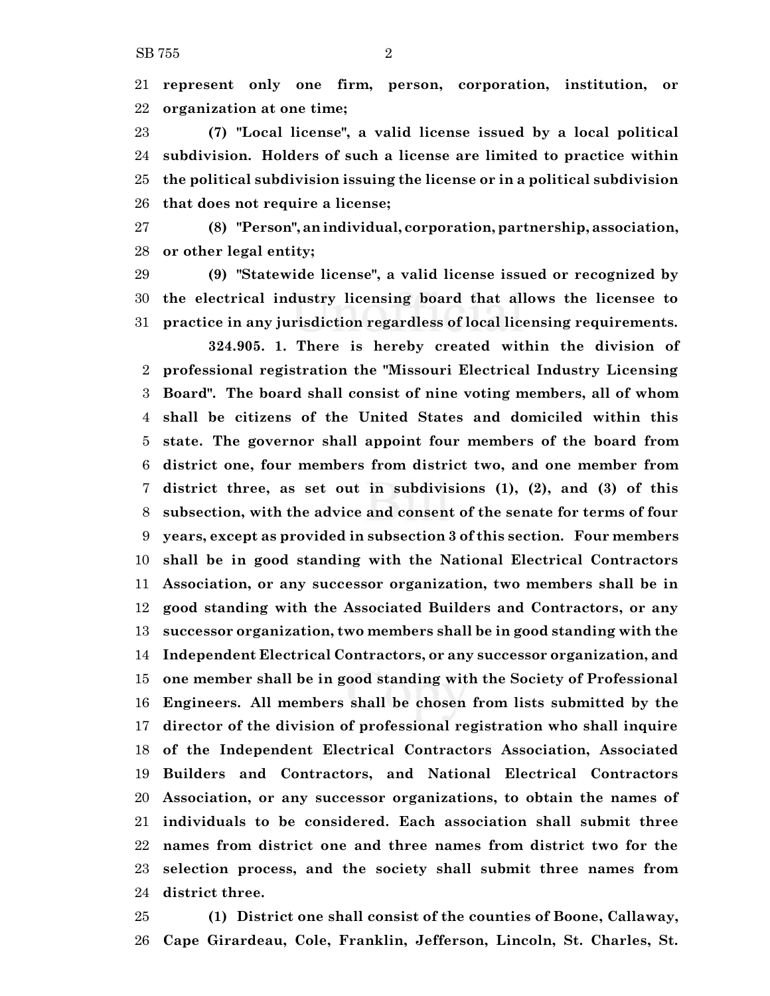**represent only one firm, person, corporation, institution, or organization at one time;**

 **(7) "Local license", a valid license issued by a local political subdivision. Holders of such a license are limited to practice within the political subdivision issuing the license or in a political subdivision that does not require a license;**

 **(8) "Person", anindividual, corporation, partnership, association, or other legal entity;**

 **(9) "Statewide license", a valid license issued or recognized by the electrical industry licensing board that allows the licensee to practice in any jurisdiction regardless of local licensing requirements.**

**324.905. 1. There is hereby created within the division of professional registration the "Missouri Electrical Industry Licensing Board". The board shall consist of nine voting members, all of whom shall be citizens of the United States and domiciled within this state. The governor shall appoint four members of the board from district one, four members from district two, and one member from district three, as set out in subdivisions (1), (2), and (3) of this subsection, with the advice and consent of the senate for terms of four years, except as provided in subsection 3 of this section. Four members shall be in good standing with the National Electrical Contractors Association, or any successor organization, two members shall be in good standing with the Associated Builders and Contractors, or any successor organization, two members shall be in good standing with the Independent Electrical Contractors, or any successor organization, and one member shall be in good standing with the Society of Professional Engineers. All members shall be chosen from lists submitted by the director of the division of professional registration who shall inquire of the Independent Electrical Contractors Association, Associated Builders and Contractors, and National Electrical Contractors Association, or any successor organizations, to obtain the names of individuals to be considered. Each association shall submit three names from district one and three names from district two for the selection process, and the society shall submit three names from district three.**

 **(1) District one shall consist of the counties of Boone, Callaway, Cape Girardeau, Cole, Franklin, Jefferson, Lincoln, St. Charles, St.**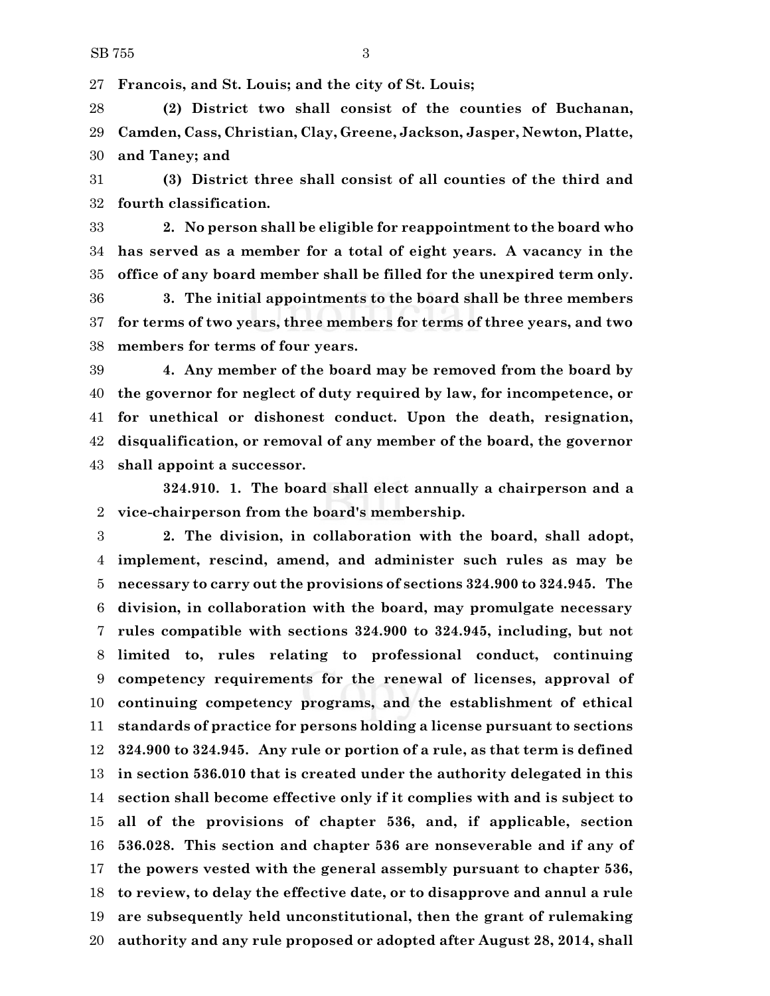**Francois, and St. Louis; and the city of St. Louis;**

 **(2) District two shall consist of the counties of Buchanan, Camden, Cass, Christian, Clay, Greene, Jackson, Jasper, Newton, Platte, and Taney; and**

 **(3) District three shall consist of all counties of the third and fourth classification.**

 **2. No person shall be eligible for reappointment to the board who has served as a member for a total of eight years. A vacancy in the office of any board member shall be filled for the unexpired term only.**

 **3. The initial appointments to the board shall be three members for terms of two years, three members for terms of three years, and two members for terms of four years.**

 **4. Any member of the board may be removed from the board by the governor for neglect of duty required by law, for incompetence, or for unethical or dishonest conduct. Upon the death, resignation, disqualification, or removal of any member of the board, the governor shall appoint a successor.**

**324.910. 1. The board shall elect annually a chairperson and a vice-chairperson from the board's membership.**

 **2. The division, in collaboration with the board, shall adopt, implement, rescind, amend, and administer such rules as may be necessary to carry out the provisions of sections 324.900 to 324.945. The division, in collaboration with the board, may promulgate necessary rules compatible with sections 324.900 to 324.945, including, but not limited to, rules relating to professional conduct, continuing competency requirements for the renewal of licenses, approval of continuing competency programs, and the establishment of ethical standards of practice for persons holding a license pursuant to sections 324.900 to 324.945. Any rule or portion of a rule, as that term is defined in section 536.010 that is created under the authority delegated in this section shall become effective only if it complies with and is subject to all of the provisions of chapter 536, and, if applicable, section 536.028. This section and chapter 536 are nonseverable and if any of the powers vested with the general assembly pursuant to chapter 536, to review, to delay the effective date, or to disapprove and annul a rule are subsequently held unconstitutional, then the grant of rulemaking authority and any rule proposed or adopted after August 28, 2014, shall**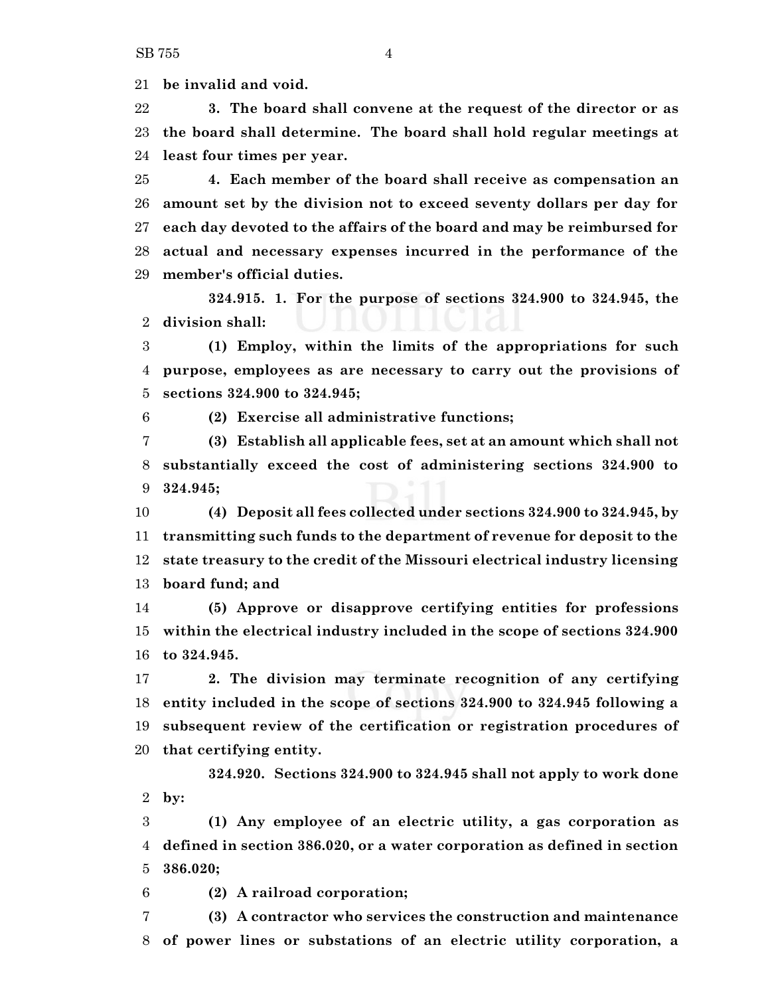**be invalid and void.**

 **3. The board shall convene at the request of the director or as the board shall determine. The board shall hold regular meetings at least four times per year.**

 **4. Each member of the board shall receive as compensation an amount set by the division not to exceed seventy dollars per day for each day devoted to the affairs of the board and may be reimbursed for actual and necessary expenses incurred in the performance of the member's official duties.**

**324.915. 1. For the purpose of sections 324.900 to 324.945, the division shall:**

 **(1) Employ, within the limits of the appropriations for such purpose, employees as are necessary to carry out the provisions of sections 324.900 to 324.945;**

**(2) Exercise all administrative functions;**

 **(3) Establish all applicable fees, set at an amount which shall not substantially exceed the cost of administering sections 324.900 to 324.945;**

 **(4) Deposit all fees collected under sections 324.900 to 324.945, by transmitting such funds to the department of revenue for deposit to the state treasury to the credit of the Missouri electrical industry licensing board fund; and**

 **(5) Approve or disapprove certifying entities for professions within the electrical industry included in the scope of sections 324.900 to 324.945.**

 **2. The division may terminate recognition of any certifying entity included in the scope of sections 324.900 to 324.945 following a subsequent review of the certification or registration procedures of that certifying entity.**

**324.920. Sections 324.900 to 324.945 shall not apply to work done by:**

 **(1) Any employee of an electric utility, a gas corporation as defined in section 386.020, or a water corporation as defined in section 386.020;**

**(2) A railroad corporation;**

 **(3) A contractor who services the construction and maintenance of power lines or substations of an electric utility corporation, a**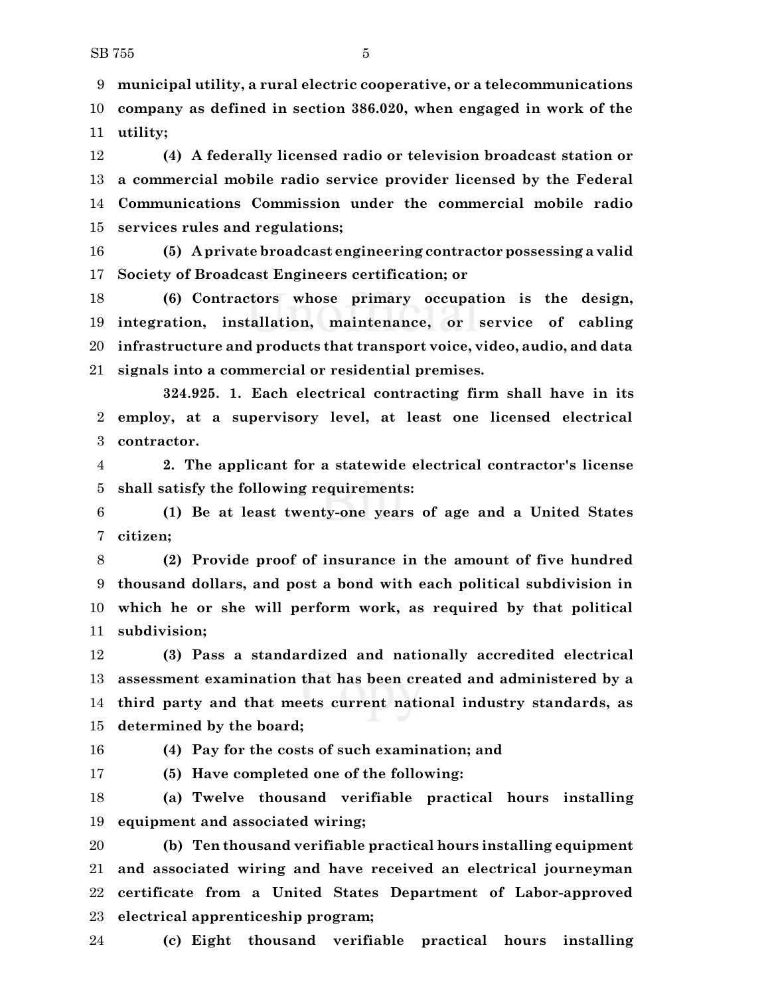**municipal utility, a rural electric cooperative, or a telecommunications company as defined in section 386.020, when engaged in work of the utility;**

 **(4) A federally licensed radio or television broadcast station or a commercial mobile radio service provider licensed by the Federal Communications Commission under the commercial mobile radio services rules and regulations;**

 **(5) A private broadcast engineering contractor possessing a valid Society of Broadcast Engineers certification; or**

 **(6) Contractors whose primary occupation is the design, integration, installation, maintenance, or service of cabling infrastructure and products that transport voice, video, audio, and data signals into a commercial or residential premises.**

**324.925. 1. Each electrical contracting firm shall have in its employ, at a supervisory level, at least one licensed electrical contractor.**

 **2. The applicant for a statewide electrical contractor's license shall satisfy the following requirements:**

 **(1) Be at least twenty-one years of age and a United States citizen;**

 **(2) Provide proof of insurance in the amount of five hundred thousand dollars, and post a bond with each political subdivision in which he or she will perform work, as required by that political subdivision;**

 **(3) Pass a standardized and nationally accredited electrical assessment examination that has been created and administered by a third party and that meets current national industry standards, as determined by the board;**

## **(4) Pay for the costs of such examination; and**

**(5) Have completed one of the following:**

 **(a) Twelve thousand verifiable practical hours installing equipment and associated wiring;**

 **(b) Ten thousand verifiable practical hours installing equipment and associated wiring and have received an electrical journeyman certificate from a United States Department of Labor-approved electrical apprenticeship program;**

**(c) Eight thousand verifiable practical hours installing**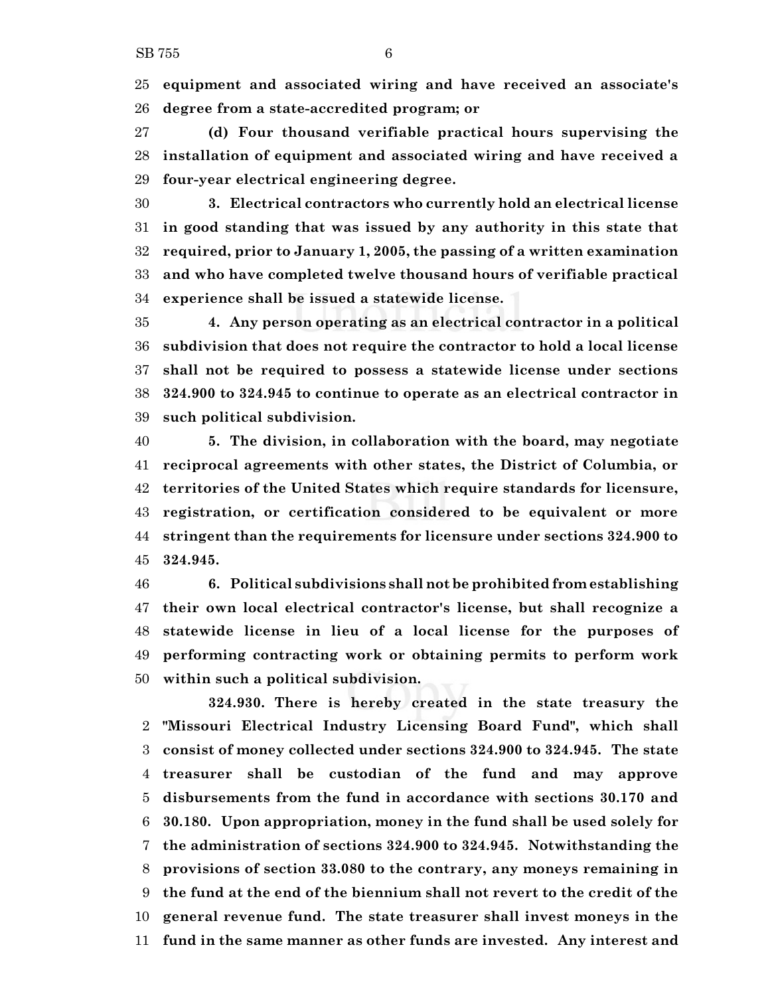**equipment and associated wiring and have received an associate's degree from a state-accredited program; or**

 **(d) Four thousand verifiable practical hours supervising the installation of equipment and associated wiring and have received a four-year electrical engineering degree.**

 **3. Electrical contractors who currently hold an electrical license in good standing that was issued by any authority in this state that required, prior to January 1, 2005, the passing of a written examination and who have completed twelve thousand hours of verifiable practical experience shall be issued a statewide license.**

 **4. Any person operating as an electrical contractor in a political subdivision that does not require the contractor to hold a local license shall not be required to possess a statewide license under sections 324.900 to 324.945 to continue to operate as an electrical contractor in such political subdivision.**

 **5. The division, in collaboration with the board, may negotiate reciprocal agreements with other states, the District of Columbia, or territories of the United States which require standards for licensure, registration, or certification considered to be equivalent or more stringent than the requirements for licensure under sections 324.900 to 324.945.**

 **6. Political subdivisions shall not be prohibited from establishing their own local electrical contractor's license, but shall recognize a statewide license in lieu of a local license for the purposes of performing contracting work or obtaining permits to perform work within such a political subdivision.**

**324.930. There is hereby created in the state treasury the "Missouri Electrical Industry Licensing Board Fund", which shall consist of money collected under sections 324.900 to 324.945. The state treasurer shall be custodian of the fund and may approve disbursements from the fund in accordance with sections 30.170 and 30.180. Upon appropriation, money in the fund shall be used solely for the administration of sections 324.900 to 324.945. Notwithstanding the provisions of section 33.080 to the contrary, any moneys remaining in the fund at the end of the biennium shall not revert to the credit of the general revenue fund. The state treasurer shall invest moneys in the fund in the same manner as other funds are invested. Any interest and**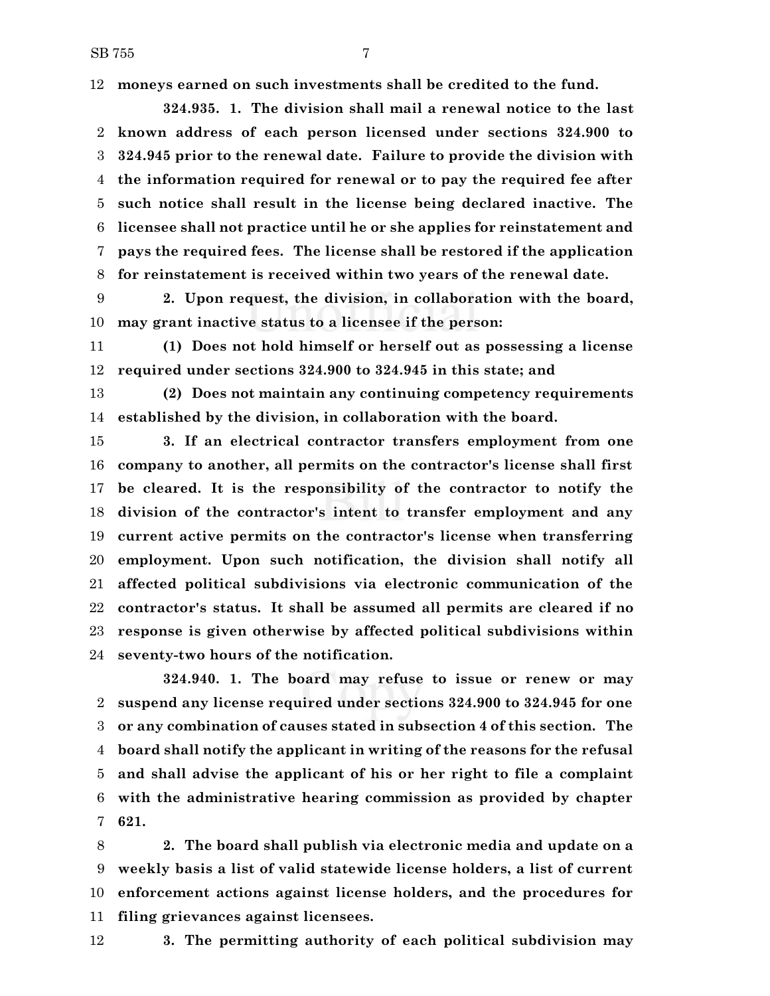SB 755 7

**moneys earned on such investments shall be credited to the fund.**

**324.935. 1. The division shall mail a renewal notice to the last known address of each person licensed under sections 324.900 to 324.945 prior to the renewal date. Failure to provide the division with the information required for renewal or to pay the required fee after such notice shall result in the license being declared inactive. The licensee shall not practice until he or she applies for reinstatement and pays the required fees. The license shall be restored if the application for reinstatement is received within two years of the renewal date.**

 **2. Upon request, the division, in collaboration with the board, may grant inactive status to a licensee if the person:**

 **(1) Does not hold himself or herself out as possessing a license required under sections 324.900 to 324.945 in this state; and**

 **(2) Does not maintain any continuing competency requirements established by the division, in collaboration with the board.**

 **3. If an electrical contractor transfers employment from one company to another, all permits on the contractor's license shall first be cleared. It is the responsibility of the contractor to notify the division of the contractor's intent to transfer employment and any current active permits on the contractor's license when transferring employment. Upon such notification, the division shall notify all affected political subdivisions via electronic communication of the contractor's status. It shall be assumed all permits are cleared if no response is given otherwise by affected political subdivisions within seventy-two hours of the notification.**

**324.940. 1. The board may refuse to issue or renew or may suspend any license required under sections 324.900 to 324.945 for one or any combination of causes stated in subsection 4 of this section. The board shall notify the applicant in writing of the reasons for the refusal and shall advise the applicant of his or her right to file a complaint with the administrative hearing commission as provided by chapter 621.**

 **2. The board shall publish via electronic media and update on a weekly basis a list of valid statewide license holders, a list of current enforcement actions against license holders, and the procedures for filing grievances against licensees.**

**3. The permitting authority of each political subdivision may**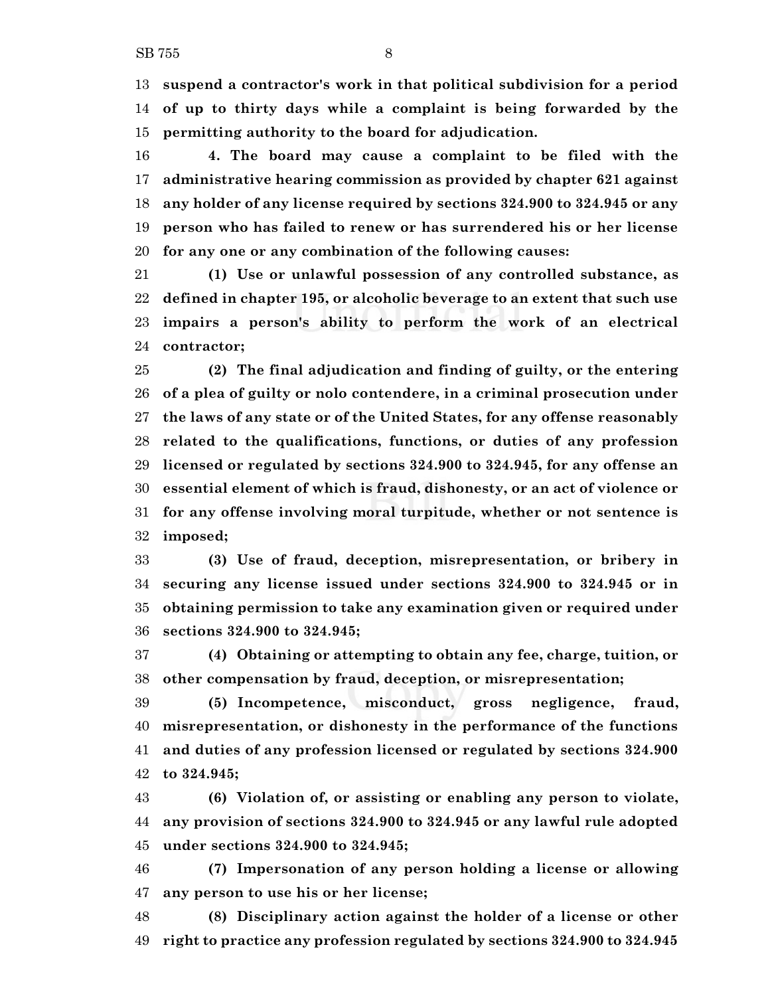**suspend a contractor's work in that political subdivision for a period of up to thirty days while a complaint is being forwarded by the permitting authority to the board for adjudication.**

 **4. The board may cause a complaint to be filed with the administrative hearing commission as provided by chapter 621 against any holder of any license required by sections 324.900 to 324.945 or any person who has failed to renew or has surrendered his or her license for any one or any combination of the following causes:**

 **(1) Use or unlawful possession of any controlled substance, as defined in chapter 195, or alcoholic beverage to an extent that such use impairs a person's ability to perform the work of an electrical contractor;**

 **(2) The final adjudication and finding of guilty, or the entering of a plea of guilty or nolo contendere, in a criminal prosecution under the laws of any state or of the United States, for any offense reasonably related to the qualifications, functions, or duties of any profession licensed or regulated by sections 324.900 to 324.945, for any offense an essential element of which is fraud, dishonesty, or an act of violence or for any offense involving moral turpitude, whether or not sentence is imposed;**

 **(3) Use of fraud, deception, misrepresentation, or bribery in securing any license issued under sections 324.900 to 324.945 or in obtaining permission to take any examination given or required under sections 324.900 to 324.945;**

 **(4) Obtaining or attempting to obtain any fee, charge, tuition, or other compensation by fraud, deception, or misrepresentation;**

 **(5) Incompetence, misconduct, gross negligence, fraud, misrepresentation, or dishonesty in the performance of the functions and duties of any profession licensed or regulated by sections 324.900 to 324.945;**

 **(6) Violation of, or assisting or enabling any person to violate, any provision of sections 324.900 to 324.945 or any lawful rule adopted under sections 324.900 to 324.945;**

 **(7) Impersonation of any person holding a license or allowing any person to use his or her license;**

 **(8) Disciplinary action against the holder of a license or other right to practice any profession regulated by sections 324.900 to 324.945**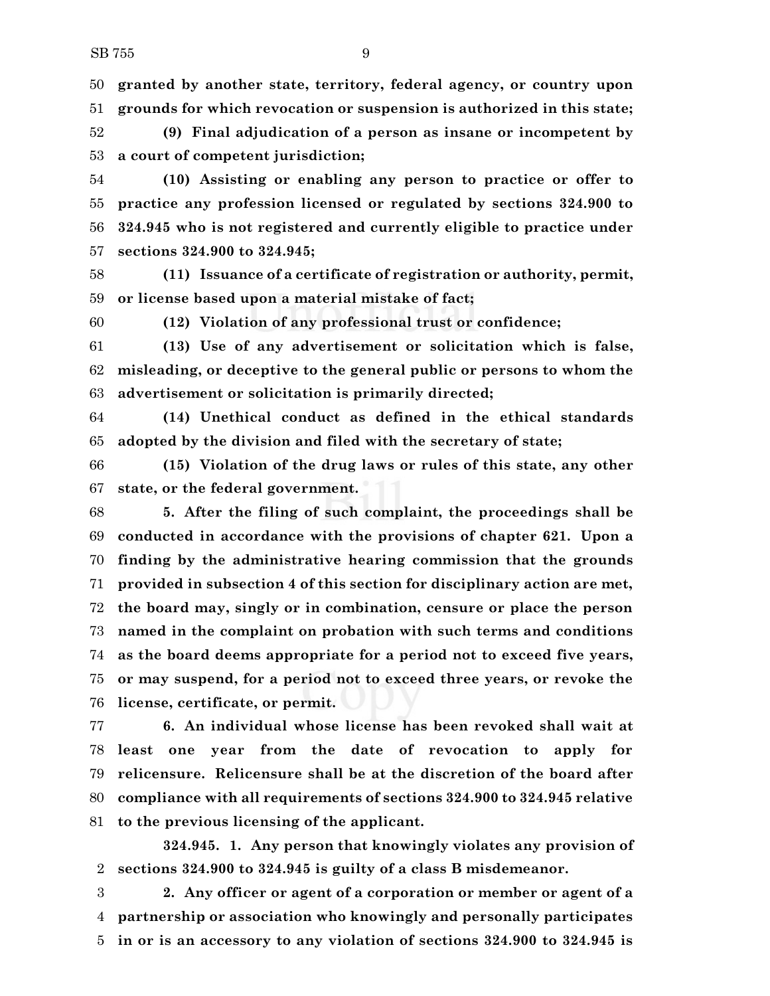**granted by another state, territory, federal agency, or country upon grounds for which revocation or suspension is authorized in this state;**

 **(9) Final adjudication of a person as insane or incompetent by a court of competent jurisdiction;**

 **(10) Assisting or enabling any person to practice or offer to practice any profession licensed or regulated by sections 324.900 to 324.945 who is not registered and currently eligible to practice under sections 324.900 to 324.945;**

 **(11) Issuance of a certificate of registration or authority, permit, or license based upon a material mistake of fact;**

**(12) Violation of any professional trust or confidence;**

 **(13) Use of any advertisement or solicitation which is false, misleading, or deceptive to the general public or persons to whom the advertisement or solicitation is primarily directed;**

 **(14) Unethical conduct as defined in the ethical standards adopted by the division and filed with the secretary of state;**

 **(15) Violation of the drug laws or rules of this state, any other state, or the federal government.**

 **5. After the filing of such complaint, the proceedings shall be conducted in accordance with the provisions of chapter 621. Upon a finding by the administrative hearing commission that the grounds provided in subsection 4 of this section for disciplinary action are met, the board may, singly or in combination, censure or place the person named in the complaint on probation with such terms and conditions as the board deems appropriate for a period not to exceed five years, or may suspend, for a period not to exceed three years, or revoke the license, certificate, or permit.**

 **6. An individual whose license has been revoked shall wait at least one year from the date of revocation to apply for relicensure. Relicensure shall be at the discretion of the board after compliance with all requirements of sections 324.900 to 324.945 relative to the previous licensing of the applicant.**

**324.945. 1. Any person that knowingly violates any provision of sections 324.900 to 324.945 is guilty of a class B misdemeanor.**

 **2. Any officer or agent of a corporation or member or agent of a partnership or association who knowingly and personally participates in or is an accessory to any violation of sections 324.900 to 324.945 is**